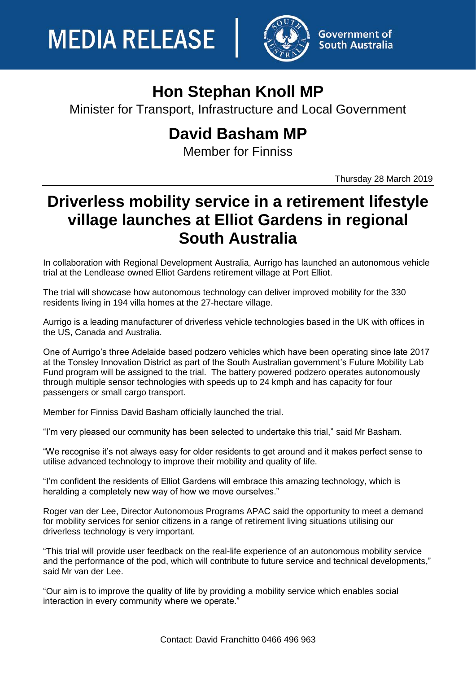

**Government of South Australia** 

## **Hon Stephan Knoll MP**

Minister for Transport, Infrastructure and Local Government

## **David Basham MP**

Member for Finniss

Thursday 28 March 2019

## **Driverless mobility service in a retirement lifestyle village launches at Elliot Gardens in regional South Australia**

In collaboration with Regional Development Australia, Aurrigo has launched an autonomous vehicle trial at the Lendlease owned Elliot Gardens retirement village at Port Elliot.

The trial will showcase how autonomous technology can deliver improved mobility for the 330 residents living in 194 villa homes at the 27-hectare village.

Aurrigo is a leading manufacturer of driverless vehicle technologies based in the UK with offices in the US, Canada and Australia.

One of Aurrigo's three Adelaide based podzero vehicles which have been operating since late 2017 at the Tonsley Innovation District as part of the South Australian government's Future Mobility Lab Fund program will be assigned to the trial. The battery powered podzero operates autonomously through multiple sensor technologies with speeds up to 24 kmph and has capacity for four passengers or small cargo transport.

Member for Finniss David Basham officially launched the trial.

"I'm very pleased our community has been selected to undertake this trial," said Mr Basham.

"We recognise it's not always easy for older residents to get around and it makes perfect sense to utilise advanced technology to improve their mobility and quality of life.

"I'm confident the residents of Elliot Gardens will embrace this amazing technology, which is heralding a completely new way of how we move ourselves."

Roger van der Lee, Director Autonomous Programs APAC said the opportunity to meet a demand for mobility services for senior citizens in a range of retirement living situations utilising our driverless technology is very important.

"This trial will provide user feedback on the real-life experience of an autonomous mobility service and the performance of the pod, which will contribute to future service and technical developments," said Mr van der Lee.

"Our aim is to improve the quality of life by providing a mobility service which enables social interaction in every community where we operate."